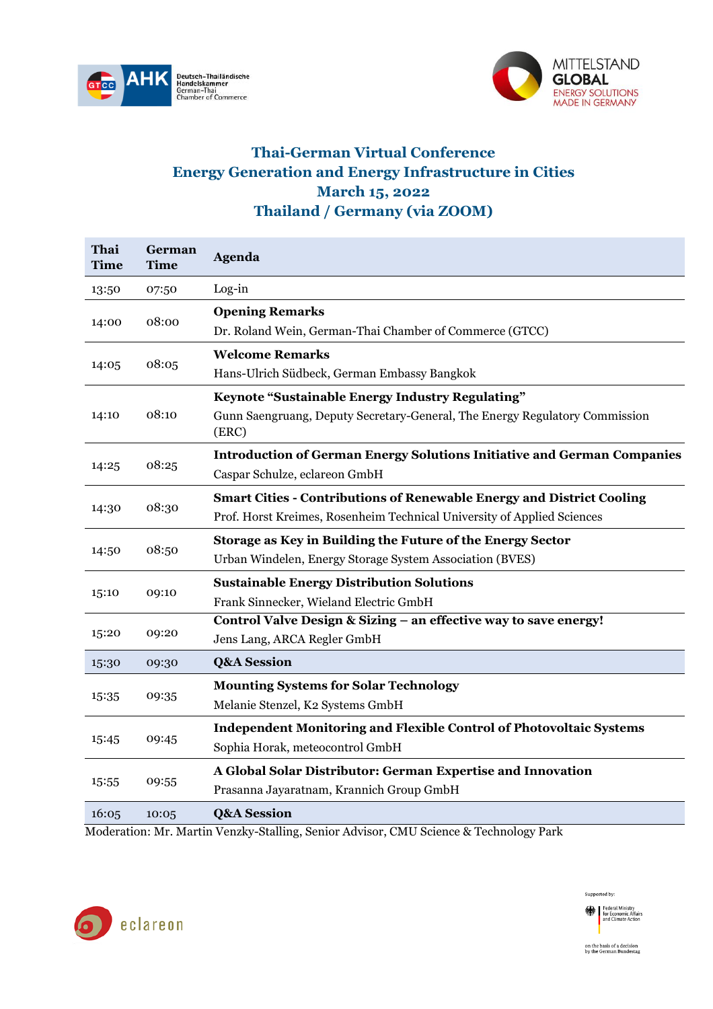



## **Thai-German Virtual Conference Energy Generation and Energy Infrastructure in Cities March 15, 2022 Thailand / Germany (via ZOOM)**

| Thai<br>Time | German<br>Time | <b>Agenda</b>                                                                        |
|--------------|----------------|--------------------------------------------------------------------------------------|
| 13:50        | 07:50          | Log-in                                                                               |
| 14:00        | 08:00          | <b>Opening Remarks</b>                                                               |
|              |                | Dr. Roland Wein, German-Thai Chamber of Commerce (GTCC)                              |
| 14:05        | 08:05          | <b>Welcome Remarks</b>                                                               |
|              |                | Hans-Ulrich Südbeck, German Embassy Bangkok                                          |
| 14:10        | 08:10          | Keynote "Sustainable Energy Industry Regulating"                                     |
|              |                | Gunn Saengruang, Deputy Secretary-General, The Energy Regulatory Commission<br>(ERC) |
| 14:25        | 08:25          | <b>Introduction of German Energy Solutions Initiative and German Companies</b>       |
|              |                | Caspar Schulze, eclareon GmbH                                                        |
|              | 08:30          | <b>Smart Cities - Contributions of Renewable Energy and District Cooling</b>         |
| 14:30        |                | Prof. Horst Kreimes, Rosenheim Technical University of Applied Sciences              |
|              | 08:50          | Storage as Key in Building the Future of the Energy Sector                           |
| 14:50        |                | Urban Windelen, Energy Storage System Association (BVES)                             |
|              | 09:10          | <b>Sustainable Energy Distribution Solutions</b>                                     |
| 15:10        |                | Frank Sinnecker, Wieland Electric GmbH                                               |
| 15:20        | 09:20          | Control Valve Design & Sizing - an effective way to save energy!                     |
|              |                | Jens Lang, ARCA Regler GmbH                                                          |
| 15:30        | 09:30          | <b>Q&amp;A Session</b>                                                               |
| 15:35        | 09:35          | <b>Mounting Systems for Solar Technology</b>                                         |
|              |                | Melanie Stenzel, K2 Systems GmbH                                                     |
| 15:45        | 09:45          | <b>Independent Monitoring and Flexible Control of Photovoltaic Systems</b>           |
|              |                | Sophia Horak, meteocontrol GmbH                                                      |
| 15:55        | 09:55          | A Global Solar Distributor: German Expertise and Innovation                          |
|              |                | Prasanna Jayaratnam, Krannich Group GmbH                                             |
| 16:05        | 10:05          | <b>Q&amp;A Session</b>                                                               |

Moderation: Mr. Martin Venzky-Stalling, Senior Advisor, CMU Science & Technology Park



Supported by: Federal Ministry<br>for Economic Affairs<br>and Climate Action on the basis of a decision<br>by the German Bundestag